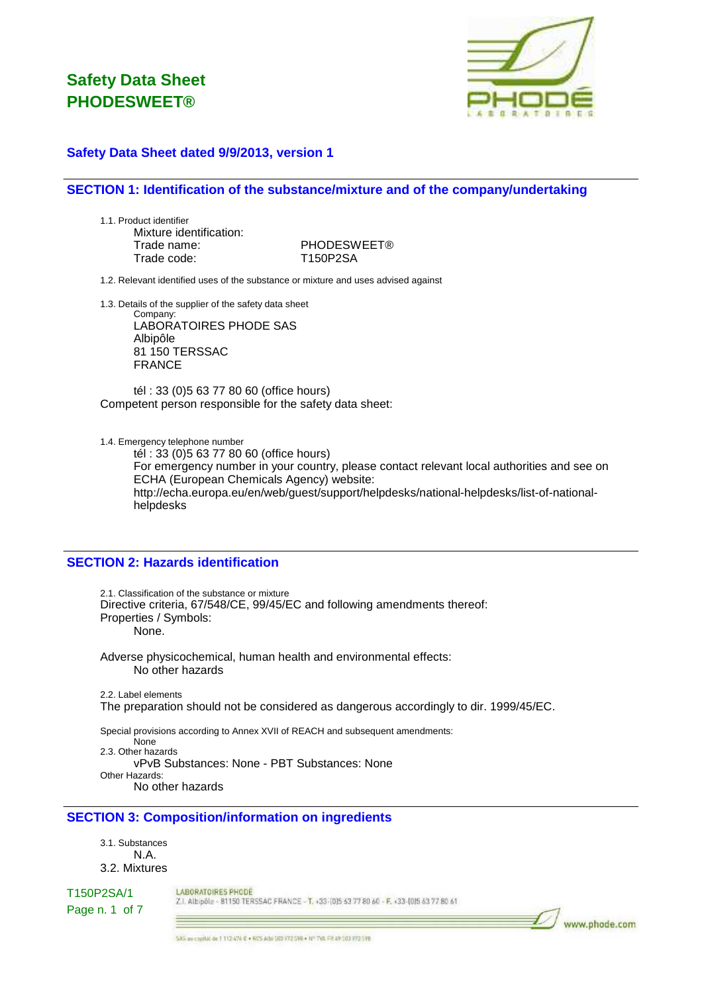

### **Safety Data Sheet dated 9/9/2013, version 1**

### **SECTION 1: Identification of the substance/mixture and of the company/undertaking**

1.1. Product identifier Mixture identification: Trade name: PHODESWEET® Trade code: T150P2SA

1.2. Relevant identified uses of the substance or mixture and uses advised against

1.3. Details of the supplier of the safety data sheet

Company: LABORATOIRES PHODE SAS Albipôle 81 150 TERSSAC FRANCE

tél : 33 (0)5 63 77 80 60 (office hours) Competent person responsible for the safety data sheet:

1.4. Emergency telephone number

tél : 33 (0)5 63 77 80 60 (office hours) For emergency number in your country, please contact relevant local authorities and see on ECHA (European Chemicals Agency) website: http://echa.europa.eu/en/web/guest/support/helpdesks/national-helpdesks/list-of-nationalhelpdesks

## **SECTION 2: Hazards identification**

2.1. Classification of the substance or mixture Directive criteria, 67/548/CE, 99/45/EC and following amendments thereof: Properties / Symbols: None.

Adverse physicochemical, human health and environmental effects: No other hazards

2.2. Label elements The preparation should not be considered as dangerous accordingly to dir. 1999/45/EC.

Special provisions according to Annex XVII of REACH and subsequent amendments: None 2.3. Other hazards vPvB Substances: None - PBT Substances: None Other Hazards: No other hazards

### **SECTION 3: Composition/information on ingredients**

3.1. Substances N.A. 3.2. Mixtures

T150P2SA/1

LABORATOIRES PHODE Z.I. Albipôle - 81150 TERSSAC FRANCE - T. +33-(0)5 63 77 80 60 - F. +33-(0)5 63 77 80 61

Page n. 1 of 7

www.phode.com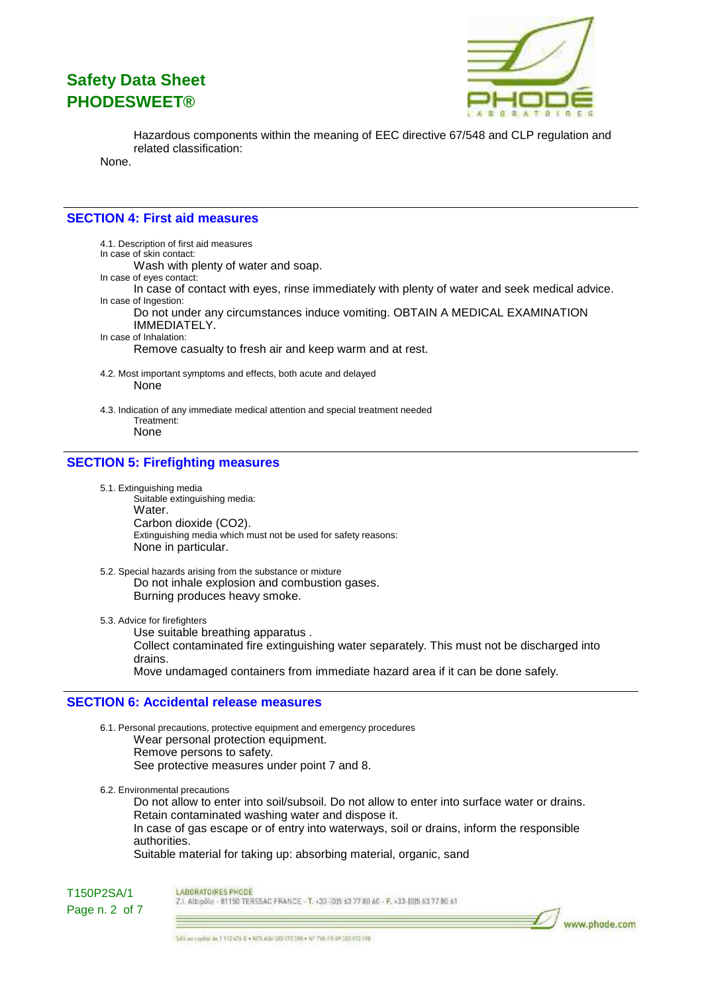

www.phode.com

Hazardous components within the meaning of EEC directive 67/548 and CLP regulation and related classification:

None.

### **SECTION 4: First aid measures**

4.1. Description of first aid measures In case of skin contact: Wash with plenty of water and soap. In case of eyes contact: In case of contact with eyes, rinse immediately with plenty of water and seek medical advice. In case of Ingestion: Do not under any circumstances induce vomiting. OBTAIN A MEDICAL EXAMINATION IMMEDIATELY. In case of Inhalation: Remove casualty to fresh air and keep warm and at rest. 4.2. Most important symptoms and effects, both acute and delayed None

4.3. Indication of any immediate medical attention and special treatment needed Treatment: None

### **SECTION 5: Firefighting measures**

- 5.1. Extinguishing media Suitable extinguishing media: Water. Carbon dioxide (CO2). Extinguishing media which must not be used for safety reasons: None in particular.
- 5.2. Special hazards arising from the substance or mixture Do not inhale explosion and combustion gases. Burning produces heavy smoke.

5.3. Advice for firefighters

Use suitable breathing apparatus . Collect contaminated fire extinguishing water separately. This must not be discharged into drains. Move undamaged containers from immediate hazard area if it can be done safely.

#### **SECTION 6: Accidental release measures**

6.1. Personal precautions, protective equipment and emergency procedures Wear personal protection equipment. Remove persons to safety. See protective measures under point 7 and 8.

6.2. Environmental precautions

Do not allow to enter into soil/subsoil. Do not allow to enter into surface water or drains. Retain contaminated washing water and dispose it. In case of gas escape or of entry into waterways, soil or drains, inform the responsible authorities. Suitable material for taking up: absorbing material, organic, sand

T150P2SA/1 Page n. 2 of 7 LABORATOIRES PHODE

Z.I. Albipôle - 81150 TERSSAC FRANCE - T. +33-(0)5 63 77 80 60 - F. +33-(0)5 63 77 80 61

SAS au cheital de 1 112 474 € + RCS Athi 503 972 590 + Nº TVA FR A9 303 972 598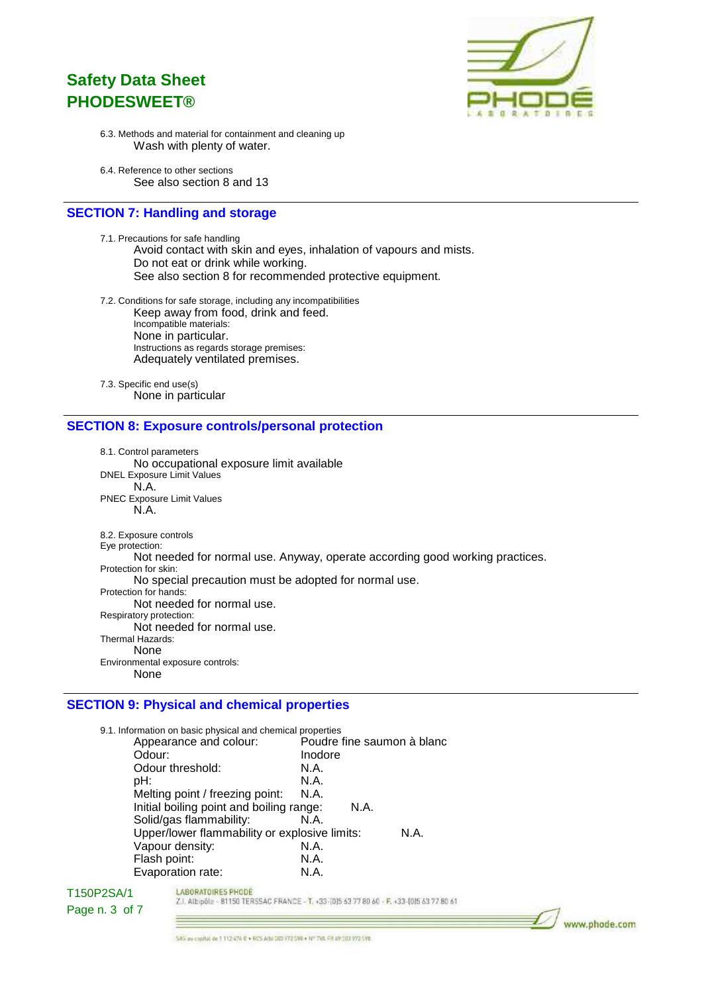

www.phode.com

- 6.3. Methods and material for containment and cleaning up Wash with plenty of water.
- 6.4. Reference to other sections See also section 8 and 13

## **SECTION 7: Handling and storage**

7.1. Precautions for safe handling Avoid contact with skin and eyes, inhalation of vapours and mists. Do not eat or drink while working. See also section 8 for recommended protective equipment.

7.2. Conditions for safe storage, including any incompatibilities Keep away from food, drink and feed. Incompatible materials: None in particular. Instructions as regards storage premises: Adequately ventilated premises.

7.3. Specific end use(s) None in particular

#### **SECTION 8: Exposure controls/personal protection**

8.1. Control parameters No occupational exposure limit available DNEL Exposure Limit Values N.A. PNEC Exposure Limit Values N.A. 8.2. Exposure controls Eye protection: Not needed for normal use. Anyway, operate according good working practices. Protection for skin: No special precaution must be adopted for normal use. Protection for hands: Not needed for normal use. Respiratory protection: Not needed for normal use. Thermal Hazards: None Environmental exposure controls: None

## **SECTION 9: Physical and chemical properties**

| 9.1. Information on basic physical and chemical properties |                            |
|------------------------------------------------------------|----------------------------|
| Appearance and colour:                                     | Poudre fine saumon à blanc |
| Odour:                                                     | Inodore                    |
| Odour threshold:                                           | N.A.                       |
| pH:                                                        | N.A.                       |
| Melting point / freezing point:                            | N.A.                       |
| Initial boiling point and boiling range:                   | N.A.                       |
| Solid/gas flammability:                                    | N.A.                       |
| Upper/lower flammability or explosive limits:              | N.A.                       |
| Vapour density:                                            | N.A.                       |
| Flash point:                                               | N.A.                       |
| Evaporation rate:                                          | N.A.                       |
|                                                            |                            |

#### T150P2SA/1 Page n. 3 of 7

Z.I. Albipôle - 81150 TERSSAC FRANCE - T. +33-(0)5 63 77 80 60 - F. +33-(0)5 63 77 80 61

 $=$ 

LABORATOIRES PHODE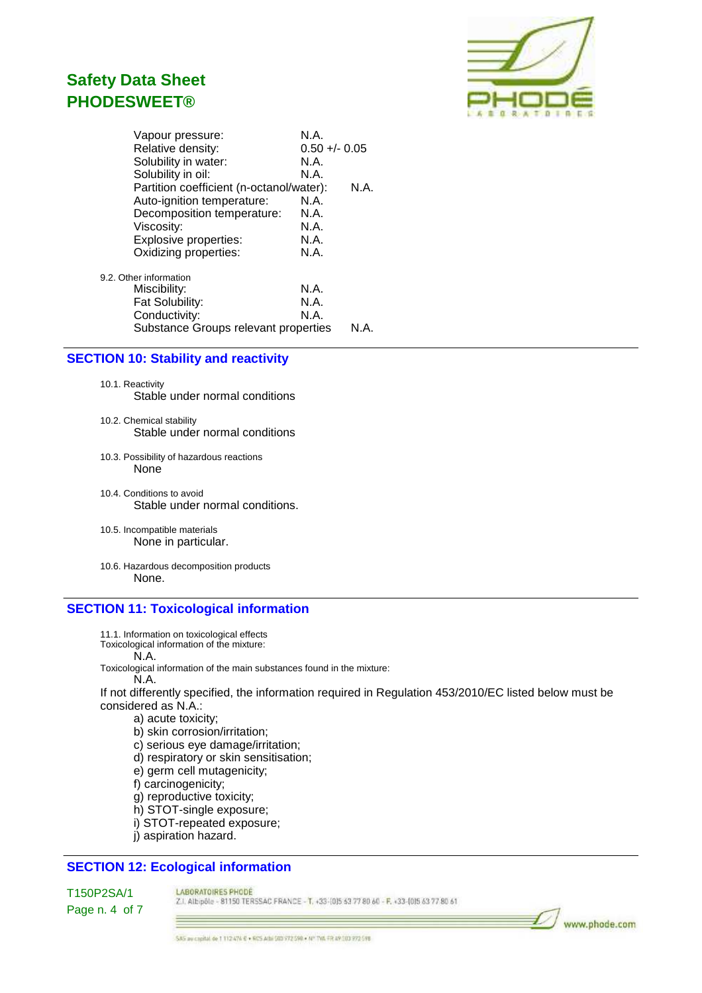

|                        | Vapour pressure:                         | N.A.            |      |  |
|------------------------|------------------------------------------|-----------------|------|--|
|                        | Relative density:                        | $0.50 +/- 0.05$ |      |  |
|                        | Solubility in water:                     | N.A.            |      |  |
|                        | Solubility in oil:                       | N.A.            |      |  |
|                        | Partition coefficient (n-octanol/water): |                 | N.A. |  |
|                        | Auto-ignition temperature:               | N.A.            |      |  |
|                        | Decomposition temperature:               | N.A.            |      |  |
|                        | Viscosity:                               | N.A.            |      |  |
|                        | Explosive properties:                    | N.A.            |      |  |
|                        | Oxidizing properties:                    | N.A.            |      |  |
| 9.2. Other information |                                          |                 |      |  |
|                        | Miscibility:                             | N.A.            |      |  |
|                        | Fat Solubility:                          | N.A.            |      |  |
|                        | Conductivity:                            | N.A.            |      |  |
|                        | Substance Groups relevant properties     |                 | N A  |  |
|                        |                                          |                 |      |  |

#### **SECTION 10: Stability and reactivity**

10.1. Reactivity Stable under normal conditions

- 10.2. Chemical stability Stable under normal conditions
- 10.3. Possibility of hazardous reactions None
- 10.4. Conditions to avoid Stable under normal conditions.
- 10.5. Incompatible materials None in particular.
- 10.6. Hazardous decomposition products None.

### **SECTION 11: Toxicological information**

- 11.1. Information on toxicological effects
- Toxicological information of the mixture:
	- N.A.

Toxicological information of the main substances found in the mixture:

N.A.

If not differently specified, the information required in Regulation 453/2010/EC listed below must be considered as N.A.:

a) acute toxicity;

b) skin corrosion/irritation;

c) serious eye damage/irritation;

d) respiratory or skin sensitisation;

e) germ cell mutagenicity;

f) carcinogenicity;

g) reproductive toxicity;

h) STOT-single exposure;

i) STOT-repeated exposure;

j) aspiration hazard.

## **SECTION 12: Ecological information**

T150P2SA/1 Page n. 4 of 7 LABORATOIRES PHODE

Z.I. Albipõle - 81150 TERSSAC FRANCE - T. +33-(0)5 63 77 80 60 - F. +33-(0)5 63 77 80 61

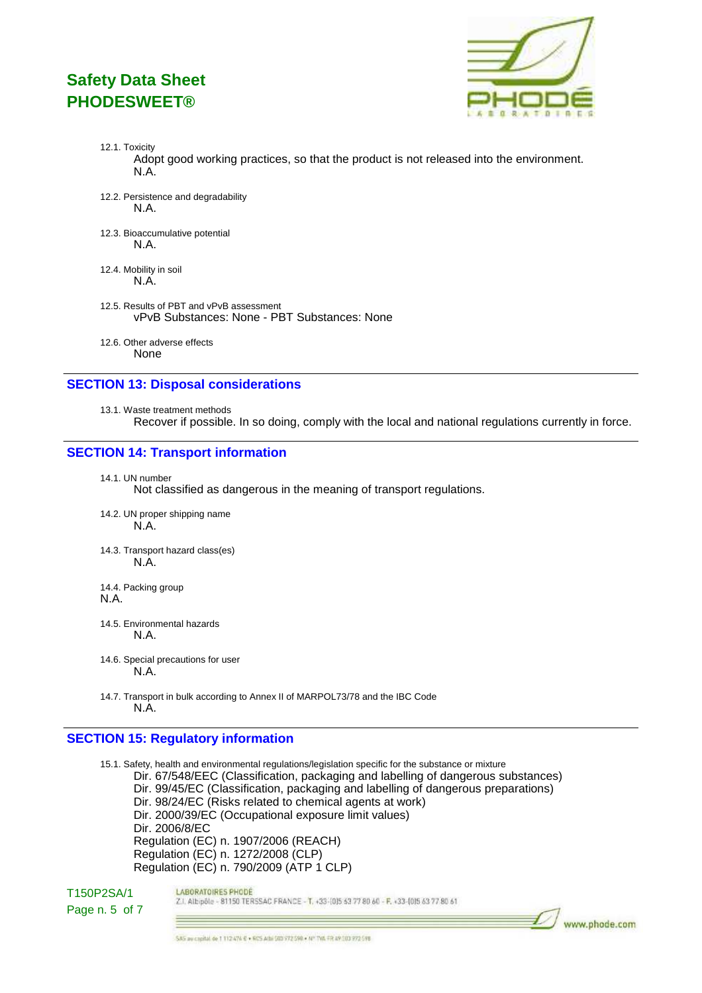

www.phode.com

- 12.1. Toxicity Adopt good working practices, so that the product is not released into the environment. N.A.
- 12.2. Persistence and degradability N.A.
- 12.3. Bioaccumulative potential N.A.
- 12.4. Mobility in soil N.A.
- 12.5. Results of PBT and vPvB assessment vPvB Substances: None - PBT Substances: None
- 12.6. Other adverse effects None

#### **SECTION 13: Disposal considerations**

13.1. Waste treatment methods Recover if possible. In so doing, comply with the local and national regulations currently in force.

## **SECTION 14: Transport information**

14.1. UN number

Not classified as dangerous in the meaning of transport regulations.

- 14.2. UN proper shipping name N.A.
- 14.3. Transport hazard class(es) N.A.
- 14.4. Packing group N.A.
- 14.5. Environmental hazards N.A.
- 14.6. Special precautions for user N.A.
- 14.7. Transport in bulk according to Annex II of MARPOL73/78 and the IBC Code N.A.

### **SECTION 15: Regulatory information**

15.1. Safety, health and environmental regulations/legislation specific for the substance or mixture Dir. 67/548/EEC (Classification, packaging and labelling of dangerous substances) Dir. 99/45/EC (Classification, packaging and labelling of dangerous preparations) Dir. 98/24/EC (Risks related to chemical agents at work) Dir. 2000/39/EC (Occupational exposure limit values) Dir. 2006/8/EC Regulation (EC) n. 1907/2006 (REACH) Regulation (EC) n. 1272/2008 (CLP) Regulation (EC) n. 790/2009 (ATP 1 CLP)

### T150P2SA/1 Page n. 5 of 7

LABORATOIRES PHODE Z.I. Albipôle - 81150 TERSSAC FRANCE - T. +33-1015 63 77 80 60 - F. +33-1015 63 77 80 61

SAS av capital de 1 112 474 € + 605 Athi 503 772 598 + Nº TVA FR 49 303 772 598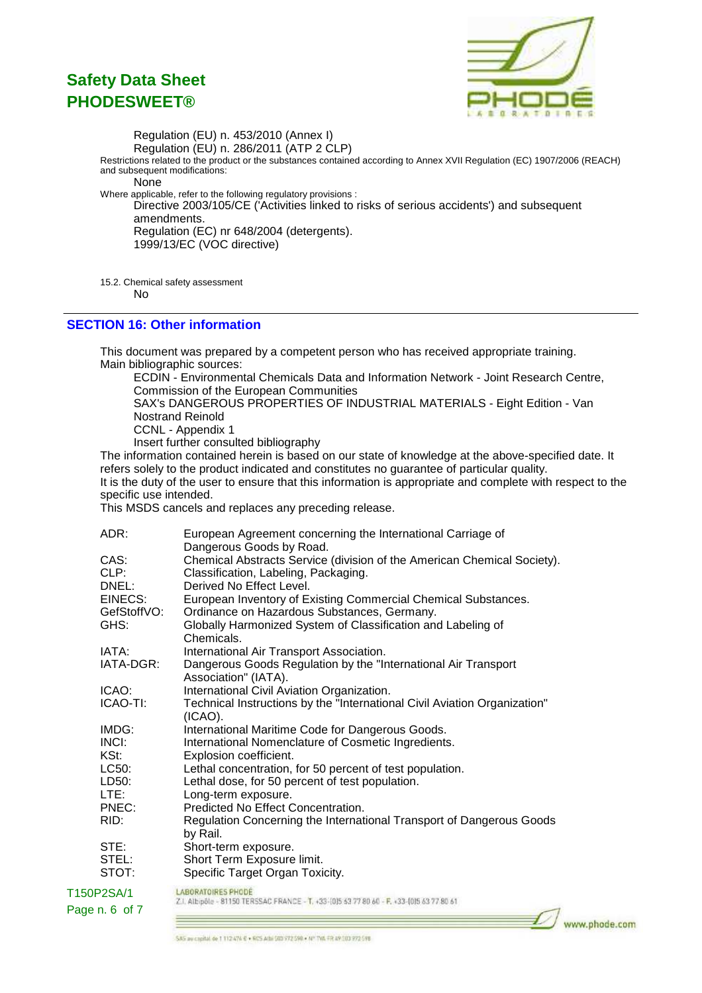

Regulation (EU) n. 453/2010 (Annex I) Regulation (EU) n. 286/2011 (ATP 2 CLP) Restrictions related to the product or the substances contained according to Annex XVII Regulation (EC) 1907/2006 (REACH) and subsequent modifications: None Where applicable, refer to the following regulatory provisions : Directive 2003/105/CE ('Activities linked to risks of serious accidents') and subsequent amendments. Regulation (EC) nr 648/2004 (detergents). 1999/13/EC (VOC directive)

15.2. Chemical safety assessment

No

### **SECTION 16: Other information**

This document was prepared by a competent person who has received appropriate training. Main bibliographic sources:

ECDIN - Environmental Chemicals Data and Information Network - Joint Research Centre, Commission of the European Communities

SAX's DANGEROUS PROPERTIES OF INDUSTRIAL MATERIALS - Eight Edition - Van Nostrand Reinold

CCNL - Appendix 1

Insert further consulted bibliography

The information contained herein is based on our state of knowledge at the above-specified date. It refers solely to the product indicated and constitutes no guarantee of particular quality. It is the duty of the user to ensure that this information is appropriate and complete with respect to the specific use intended.

This MSDS cancels and replaces any preceding release.

| ADR:        | European Agreement concerning the International Carriage of<br>Dangerous Goods by Road.                               |
|-------------|-----------------------------------------------------------------------------------------------------------------------|
| CAS:        | Chemical Abstracts Service (division of the American Chemical Society).                                               |
| CLP:        | Classification, Labeling, Packaging.                                                                                  |
| DNEL:       | Derived No Effect Level.                                                                                              |
| EINECS:     | European Inventory of Existing Commercial Chemical Substances.                                                        |
| GefStoffVO: | Ordinance on Hazardous Substances, Germany.                                                                           |
| GHS:        | Globally Harmonized System of Classification and Labeling of<br>Chemicals.                                            |
| IATA:       | International Air Transport Association.                                                                              |
| IATA-DGR:   | Dangerous Goods Regulation by the "International Air Transport<br>Association" (IATA).                                |
| ICAO:       | International Civil Aviation Organization.                                                                            |
| ICAO-TI:    | Technical Instructions by the "International Civil Aviation Organization"<br>$(ICAO)$ .                               |
| IMDG:       | International Maritime Code for Dangerous Goods.                                                                      |
| INCI:       | International Nomenclature of Cosmetic Ingredients.                                                                   |
| KSt:        | Explosion coefficient.                                                                                                |
| LC50:       | Lethal concentration, for 50 percent of test population.                                                              |
| LD50:       | Lethal dose, for 50 percent of test population.                                                                       |
| LTE:        | Long-term exposure.                                                                                                   |
| PNEC:       | Predicted No Effect Concentration.                                                                                    |
| RID:        | Regulation Concerning the International Transport of Dangerous Goods<br>by Rail.                                      |
| STE:        | Short-term exposure.                                                                                                  |
| STEL:       | Short Term Exposure limit.                                                                                            |
| STOT:       | Specific Target Organ Toxicity.                                                                                       |
| T150P2SA/1  | <b>LABORATOIRES PHODE</b><br>Z.I. Albipõle - 81150 TERSSAC FRANCE - 1, +33-(0)5 43 77 80 60 - F, +33-(0)5 63 77 80 61 |

Page n. 6 of 7